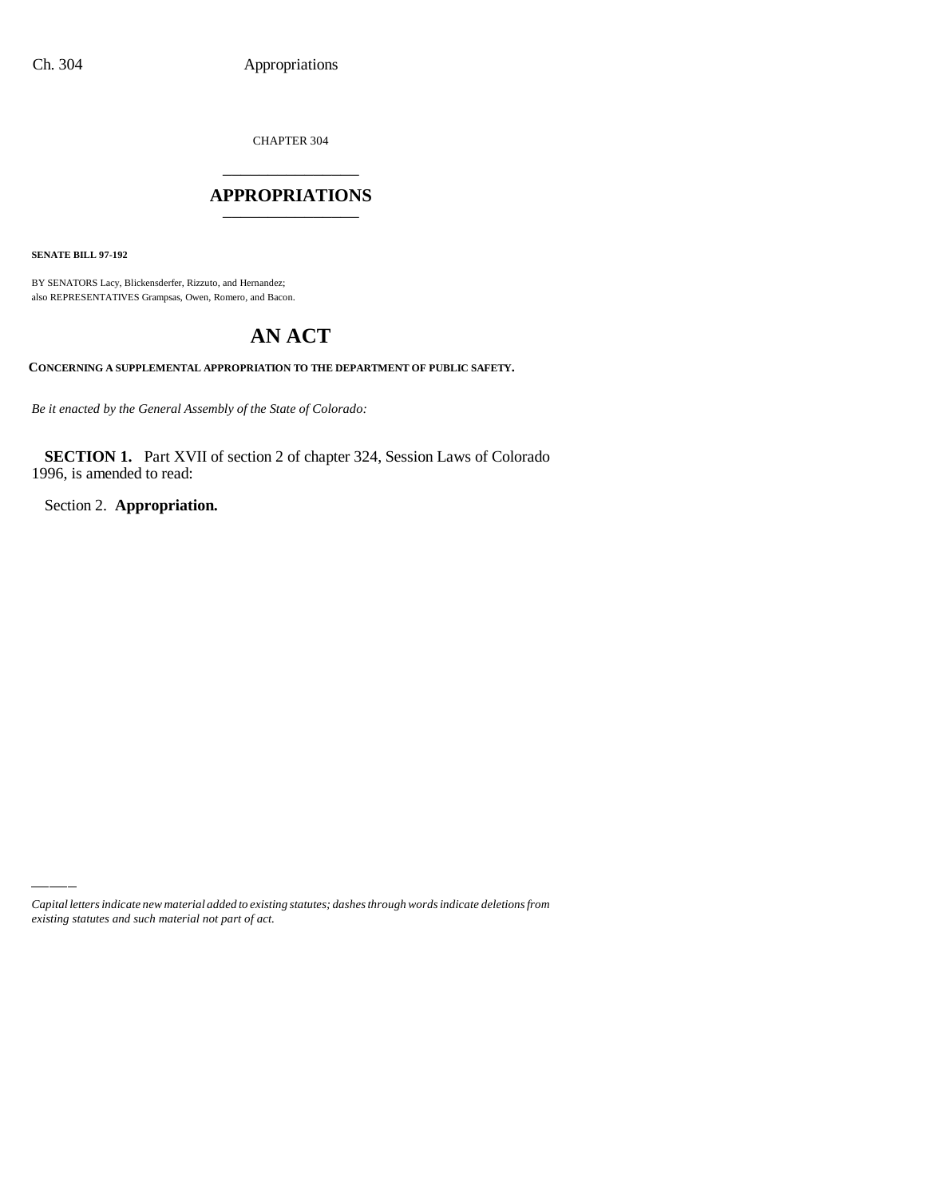CHAPTER 304 \_\_\_\_\_\_\_\_\_\_\_\_\_\_\_

### **APPROPRIATIONS** \_\_\_\_\_\_\_\_\_\_\_\_\_\_\_

**SENATE BILL 97-192**

BY SENATORS Lacy, Blickensderfer, Rizzuto, and Hernandez; also REPRESENTATIVES Grampsas, Owen, Romero, and Bacon.

# **AN ACT**

**CONCERNING A SUPPLEMENTAL APPROPRIATION TO THE DEPARTMENT OF PUBLIC SAFETY.**

*Be it enacted by the General Assembly of the State of Colorado:*

**SECTION 1.** Part XVII of section 2 of chapter 324, Session Laws of Colorado 1996, is amended to read:

Section 2. **Appropriation.**

*Capital letters indicate new material added to existing statutes; dashes through words indicate deletions from existing statutes and such material not part of act.*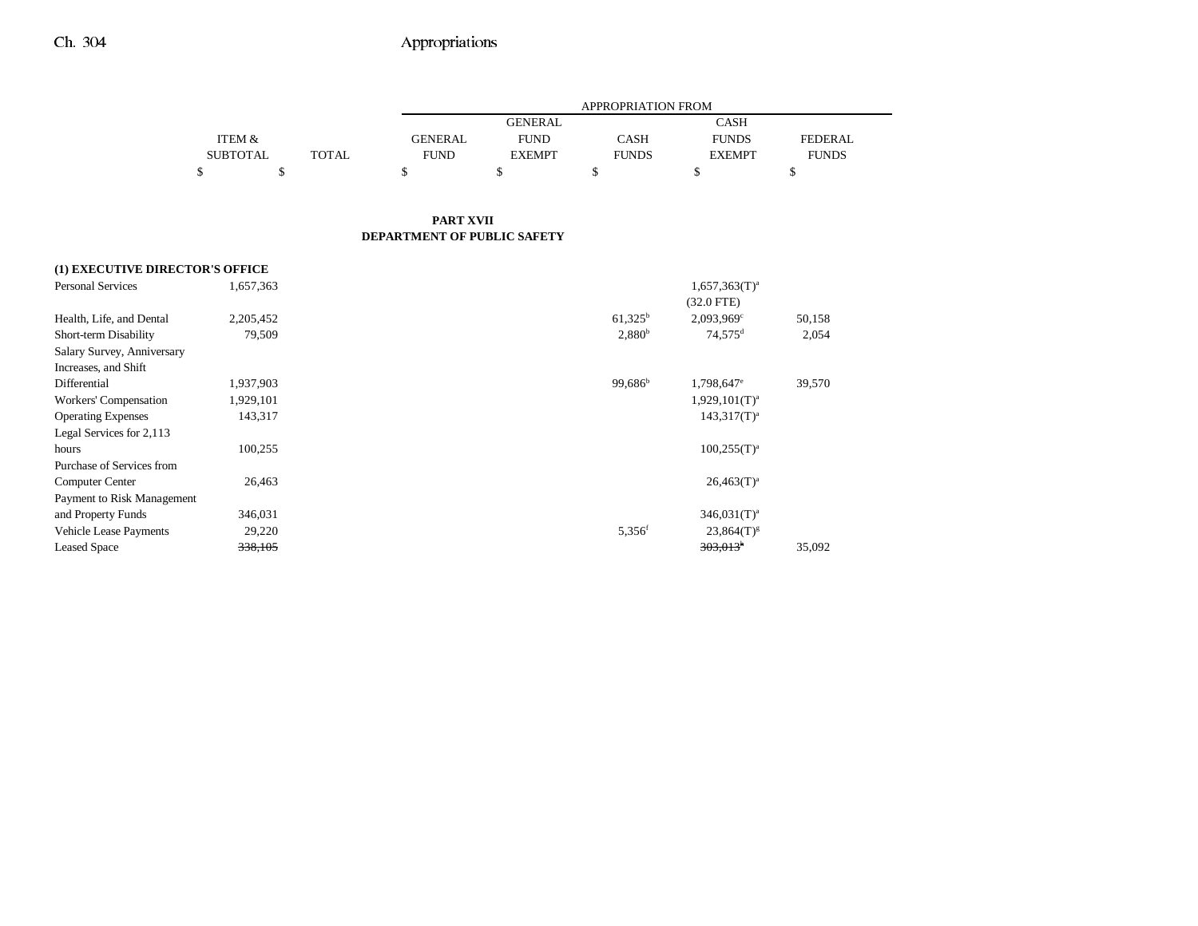|                 |              |                | APPROPRIATION FROM |              |               |                |  |  |
|-----------------|--------------|----------------|--------------------|--------------|---------------|----------------|--|--|
|                 |              |                | <b>GENERAL</b>     |              | CASH          |                |  |  |
| ITEM &          |              | <b>GENERAL</b> | <b>FUND</b>        | <b>CASH</b>  | <b>FUNDS</b>  | <b>FEDERAL</b> |  |  |
| <b>SUBTOTAL</b> | <b>TOTAL</b> | <b>FUND</b>    | <b>EXEMPT</b>      | <b>FUNDS</b> | <b>EXEMPT</b> | <b>FUNDS</b>   |  |  |
|                 |              |                |                    |              |               | ۰              |  |  |

#### **PART XVII DEPARTMENT OF PUBLIC SAFETY**

### **(1) EXECUTIVE DIRECTOR'S OFFICE**

| <b>Personal Services</b>      | 1,657,363 |                      | $1,657,363(T)^a$<br>$(32.0$ FTE) |        |
|-------------------------------|-----------|----------------------|----------------------------------|--------|
| Health, Life, and Dental      | 2,205,452 | $61,325^{\rm b}$     | $2,093,969^{\circ}$              | 50,158 |
| Short-term Disability         | 79,509    | 2,880 <sup>b</sup>   | 74,575 <sup>d</sup>              | 2,054  |
| Salary Survey, Anniversary    |           |                      |                                  |        |
| Increases, and Shift          |           |                      |                                  |        |
| Differential                  | 1,937,903 | $99.686^{\rm b}$     | 1,798,647 <sup>e</sup>           | 39,570 |
| Workers' Compensation         | 1,929,101 |                      | $1,929,101(T)^{a}$               |        |
| <b>Operating Expenses</b>     | 143,317   |                      | $143.317(T)^{a}$                 |        |
| Legal Services for 2,113      |           |                      |                                  |        |
| hours                         | 100,255   |                      | $100,255(T)^a$                   |        |
| Purchase of Services from     |           |                      |                                  |        |
| <b>Computer Center</b>        | 26,463    |                      | $26,463(T)^{a}$                  |        |
| Payment to Risk Management    |           |                      |                                  |        |
| and Property Funds            | 346,031   |                      | $346.031(T)^a$                   |        |
| <b>Vehicle Lease Payments</b> | 29,220    | $5,356$ <sup>f</sup> | $23,864(T)^{g}$                  |        |
| <b>Leased Space</b>           | 338,105   |                      | 303,013 <sup>h</sup>             | 35,092 |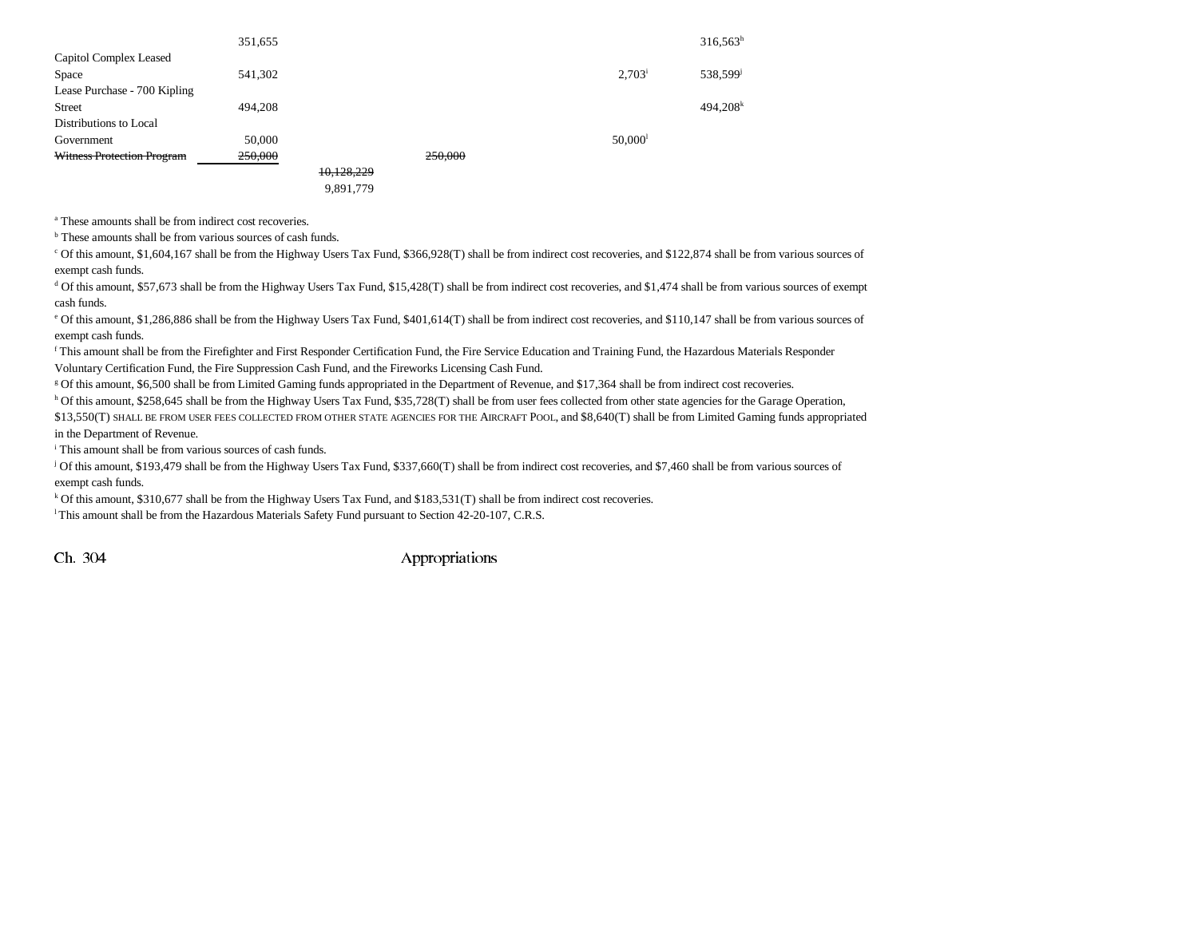|                              | 351,655 |            |         |                       | $316,563^h$            |
|------------------------------|---------|------------|---------|-----------------------|------------------------|
| Capitol Complex Leased       |         |            |         |                       |                        |
| Space                        | 541,302 |            |         | $2,703^{\rm i}$       | 538,599 <sup>j</sup>   |
| Lease Purchase - 700 Kipling |         |            |         |                       |                        |
| <b>Street</b>                | 494.208 |            |         |                       | $494,208$ <sup>k</sup> |
| Distributions to Local       |         |            |         |                       |                        |
| Government                   | 50,000  |            |         | $50,000$ <sup>1</sup> |                        |
| Witness Protection Program   | 250,000 |            | 250,000 |                       |                        |
|                              |         | 10,128,229 |         |                       |                        |
|                              |         | 9,891,779  |         |                       |                        |

a These amounts shall be from indirect cost recoveries.

<sup>b</sup> These amounts shall be from various sources of cash funds.

c Of this amount, \$1,604,167 shall be from the Highway Users Tax Fund, \$366,928(T) shall be from indirect cost recoveries, and \$122,874 shall be from various sources of exempt cash funds.

<sup>d</sup> Of this amount, \$57,673 shall be from the Highway Users Tax Fund, \$15,428(T) shall be from indirect cost recoveries, and \$1,474 shall be from various sources of exempt cash funds.

<sup>e</sup> Of this amount, \$1,286,886 shall be from the Highway Users Tax Fund, \$401,614(T) shall be from indirect cost recoveries, and \$110,147 shall be from various sources of exempt cash funds.

f This amount shall be from the Firefighter and First Responder Certification Fund, the Fire Service Education and Training Fund, the Hazardous Materials Responder Voluntary Certification Fund, the Fire Suppression Cash Fund, and the Fireworks Licensing Cash Fund.

g Of this amount, \$6,500 shall be from Limited Gaming funds appropriated in the Department of Revenue, and \$17,364 shall be from indirect cost recoveries.

h Of this amount, \$258,645 shall be from the Highway Users Tax Fund, \$35,728(T) shall be from user fees collected from other state agencies for the Garage Operation,

\$13,550(T) SHALL BE FROM USER FEES COLLECTED FROM OTHER STATE AGENCIES FOR THE AIRCRAFT POOL, and \$8,640(T) shall be from Limited Gaming funds appropriated in the Department of Revenue.

i This amount shall be from various sources of cash funds.

j Of this amount, \$193,479 shall be from the Highway Users Tax Fund, \$337,660(T) shall be from indirect cost recoveries, and \$7,460 shall be from various sources of exempt cash funds.

k Of this amount, \$310,677 shall be from the Highway Users Tax Fund, and \$183,531(T) shall be from indirect cost recoveries.

l This amount shall be from the Hazardous Materials Safety Fund pursuant to Section 42-20-107, C.R.S.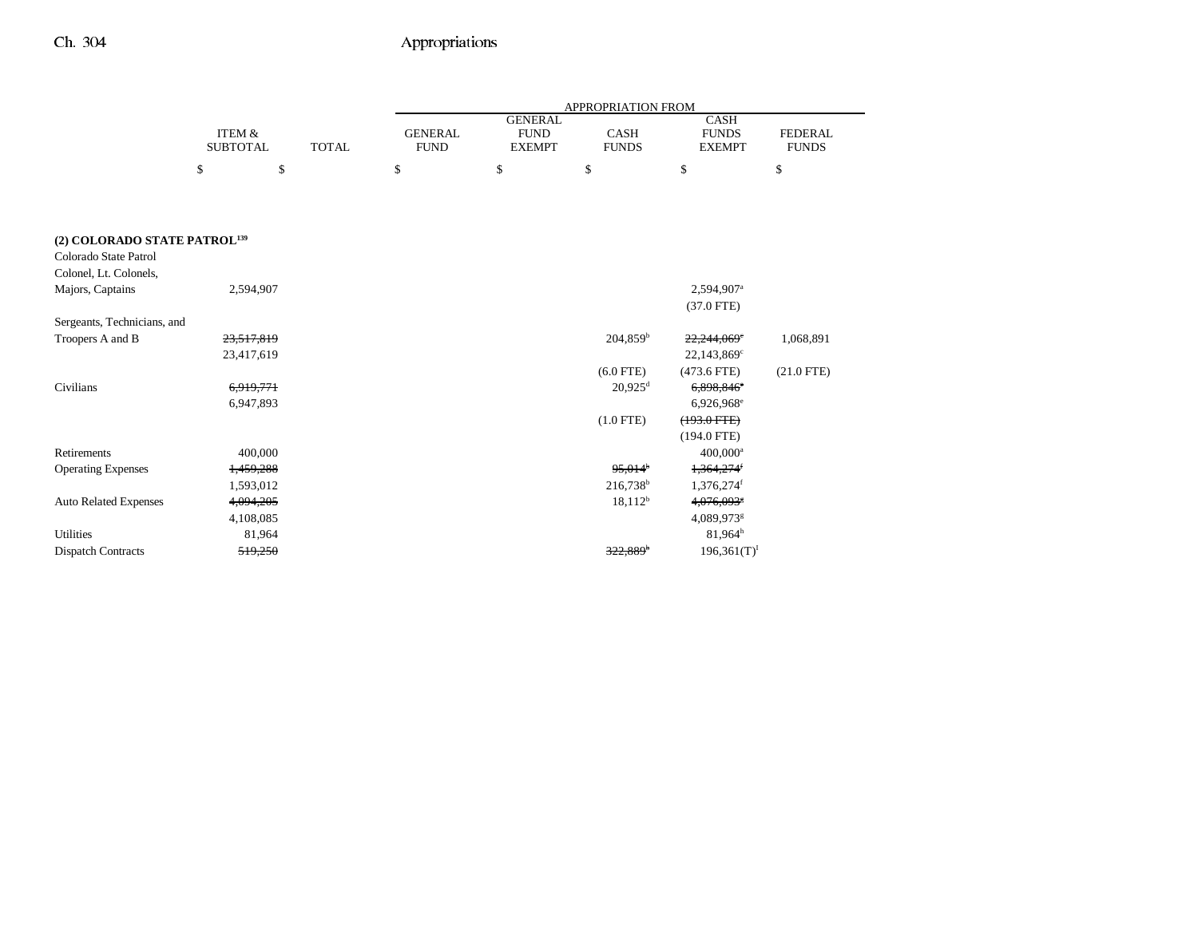|                                          |                                      |              | APPROPRIATION FROM            |                                                |                             |                                              |                                |  |
|------------------------------------------|--------------------------------------|--------------|-------------------------------|------------------------------------------------|-----------------------------|----------------------------------------------|--------------------------------|--|
|                                          | <b>ITEM &amp;</b><br><b>SUBTOTAL</b> | <b>TOTAL</b> | <b>GENERAL</b><br><b>FUND</b> | <b>GENERAL</b><br><b>FUND</b><br><b>EXEMPT</b> | <b>CASH</b><br><b>FUNDS</b> | <b>CASH</b><br><b>FUNDS</b><br><b>EXEMPT</b> | <b>FEDERAL</b><br><b>FUNDS</b> |  |
|                                          | \$<br>\$                             |              | \$                            | \$                                             | \$                          | \$                                           | \$                             |  |
|                                          |                                      |              |                               |                                                |                             |                                              |                                |  |
|                                          |                                      |              |                               |                                                |                             |                                              |                                |  |
| (2) COLORADO STATE PATROL <sup>139</sup> |                                      |              |                               |                                                |                             |                                              |                                |  |
| Colorado State Patrol                    |                                      |              |                               |                                                |                             |                                              |                                |  |
| Colonel, Lt. Colonels,                   |                                      |              |                               |                                                |                             |                                              |                                |  |
| Majors, Captains                         | 2,594,907                            |              |                               |                                                |                             | 2,594,907 <sup>a</sup>                       |                                |  |
|                                          |                                      |              |                               |                                                |                             | $(37.0$ FTE)                                 |                                |  |
| Sergeants, Technicians, and              |                                      |              |                               |                                                |                             |                                              |                                |  |
| Troopers A and B                         | 23,517,819                           |              |                               |                                                | 204,859 <sup>b</sup>        | 22,244,069°                                  | 1,068,891                      |  |
|                                          | 23,417,619                           |              |                               |                                                |                             | $22,143,869^{\circ}$                         |                                |  |
|                                          |                                      |              |                               |                                                | $(6.0$ FTE)                 | $(473.6$ FTE)                                | $(21.0$ FTE)                   |  |
| Civilians                                | 6,919,771                            |              |                               |                                                | $20,925$ <sup>d</sup>       | 6,898,846 <sup>e</sup>                       |                                |  |
|                                          | 6,947,893                            |              |                               |                                                |                             | 6,926,968 <sup>e</sup>                       |                                |  |
|                                          |                                      |              |                               |                                                | $(1.0$ FTE)                 | $(193.0$ FTE)                                |                                |  |
|                                          |                                      |              |                               |                                                |                             | $(194.0$ FTE)                                |                                |  |
| Retirements                              | 400,000                              |              |                               |                                                |                             | $400,000$ <sup>a</sup>                       |                                |  |
| <b>Operating Expenses</b>                | 1,459,288                            |              |                               |                                                | $95.014$ <sup>b</sup>       | $1,364,274$ <sup>f</sup>                     |                                |  |
|                                          | 1,593,012                            |              |                               |                                                | 216,738 <sup>b</sup>        | 1,376,274f                                   |                                |  |
| <b>Auto Related Expenses</b>             | 4,094,205                            |              |                               |                                                | $18,112^b$                  | 4,076,093                                    |                                |  |
|                                          | 4,108,085                            |              |                               |                                                |                             | 4,089,973 <sup>g</sup>                       |                                |  |
| <b>Utilities</b>                         | 81,964                               |              |                               |                                                |                             | 81.964 <sup>h</sup>                          |                                |  |
| <b>Dispatch Contracts</b>                | 519,250                              |              |                               |                                                | $322,889$ <sup>6</sup>      | $196,361(T)^{I}$                             |                                |  |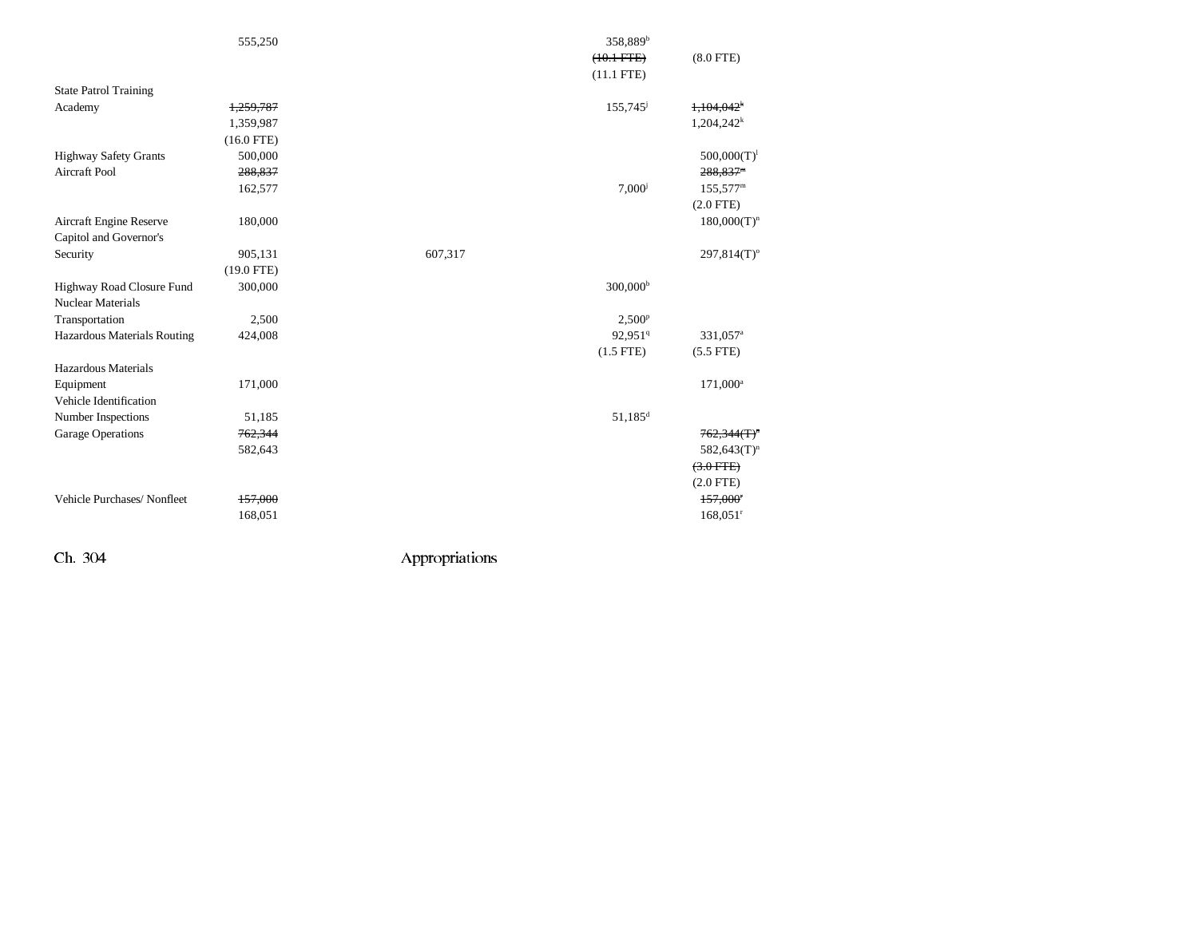|                                                   | 555,250      | 358,889 <sup>b</sup><br>$(10.1 FTE)$<br>$(11.1$ FTE) | $(8.0$ FTE)               |
|---------------------------------------------------|--------------|------------------------------------------------------|---------------------------|
| <b>State Patrol Training</b>                      |              |                                                      |                           |
| Academy                                           | 1,259,787    | 155,745 <sup>j</sup>                                 | 1,104,042                 |
|                                                   | 1,359,987    |                                                      | $1,204,242^k$             |
|                                                   | $(16.0$ FTE) |                                                      |                           |
| <b>Highway Safety Grants</b>                      | 500,000      |                                                      | $500,000(T)^1$            |
| <b>Aircraft Pool</b>                              | 288,837      |                                                      | 288,837 <sup>m</sup>      |
|                                                   | 162,577      | $7,000^{j}$                                          | $155,577^{\rm m}$         |
|                                                   |              |                                                      | $(2.0$ FTE)               |
| Aircraft Engine Reserve<br>Capitol and Governor's | 180,000      |                                                      | $180,000(T)^n$            |
| Security                                          | 905,131      | 607,317                                              | $297,814(T)$ <sup>o</sup> |
|                                                   | $(19.0$ FTE) |                                                      |                           |
| Highway Road Closure Fund                         | 300,000      | 300,000 <sup>b</sup>                                 |                           |
| <b>Nuclear Materials</b>                          |              |                                                      |                           |
| Transportation                                    | 2,500        | $2,500^{\rm p}$                                      |                           |
| Hazardous Materials Routing                       | 424,008      | 92,951 <sup>q</sup>                                  | 331,057 <sup>a</sup>      |
|                                                   |              | $(1.5$ FTE)                                          | $(5.5$ FTE)               |
| Hazardous Materials                               |              |                                                      |                           |
| Equipment                                         | 171,000      |                                                      | 171,000 <sup>a</sup>      |
| Vehicle Identification                            |              |                                                      |                           |
| Number Inspections                                | 51,185       | $51,185$ <sup>d</sup>                                |                           |
| <b>Garage Operations</b>                          | 762,344      |                                                      | $762,344(T)^n$            |
|                                                   | 582,643      |                                                      | $582,643(T)^n$            |
|                                                   |              |                                                      | $(3.0$ FTE)               |
|                                                   |              |                                                      | $(2.0$ FTE)               |
| Vehicle Purchases/Nonfleet                        | 157,000      |                                                      | 157,000 <sup>r</sup>      |
|                                                   | 168,051      |                                                      | $168,051$ <sup>r</sup>    |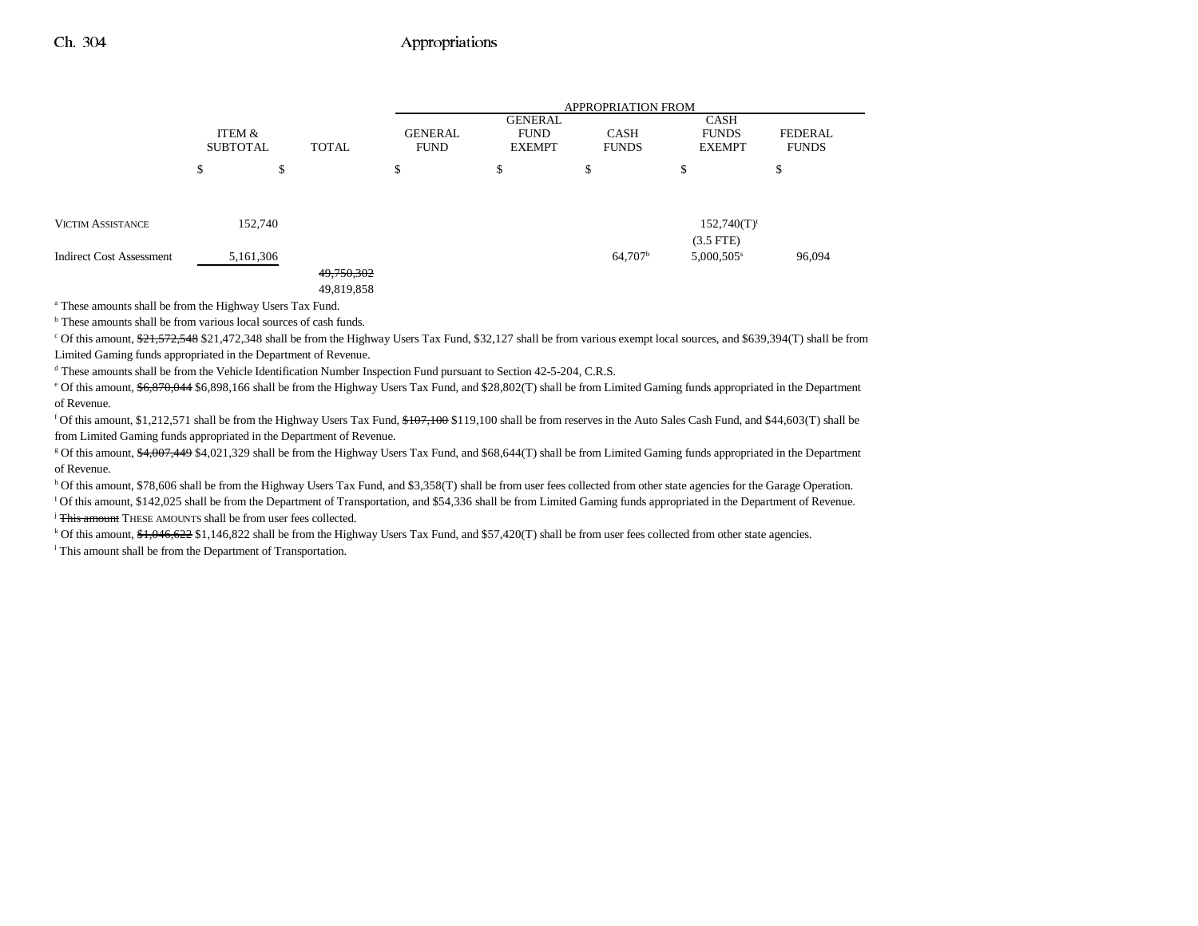|                                 |                           |           |              |                               | <b>APPROPRIATION FROM</b>                      |                             |                                       |                                |  |
|---------------------------------|---------------------------|-----------|--------------|-------------------------------|------------------------------------------------|-----------------------------|---------------------------------------|--------------------------------|--|
|                                 | ITEM &<br><b>SUBTOTAL</b> |           | <b>TOTAL</b> | <b>GENERAL</b><br><b>FUND</b> | <b>GENERAL</b><br><b>FUND</b><br><b>EXEMPT</b> | <b>CASH</b><br><b>FUNDS</b> | CASH<br><b>FUNDS</b><br><b>EXEMPT</b> | <b>FEDERAL</b><br><b>FUNDS</b> |  |
|                                 | \$                        | \$        |              | \$                            | \$                                             | э                           | \$                                    | \$                             |  |
|                                 |                           |           |              |                               |                                                |                             |                                       |                                |  |
| <b>VICTIM ASSISTANCE</b>        |                           | 152,740   |              |                               |                                                |                             | $152,740(T)^t$<br>$(3.5$ FTE)         |                                |  |
| <b>Indirect Cost Assessment</b> |                           | 5,161,306 |              |                               |                                                | $64,707^{\rm b}$            | 5,000,505 <sup>s</sup>                | 96,094                         |  |
|                                 |                           |           | 49,750,302   |                               |                                                |                             |                                       |                                |  |
|                                 |                           |           | 49,819,858   |                               |                                                |                             |                                       |                                |  |

a These amounts shall be from the Highway Users Tax Fund.

b These amounts shall be from various local sources of cash funds.

c Of this amount,  $21,572,548$  \$21,472,348 shall be from the Highway Users Tax Fund, \$32,127 shall be from various exempt local sources, and \$639,394(T) shall be from Limited Gaming funds appropriated in the Department of Revenue.

<sup>d</sup> These amounts shall be from the Vehicle Identification Number Inspection Fund pursuant to Section 42-5-204, C.R.S.

<sup>e</sup> Of this amount, \$6,870,044 \$6,898,166 shall be from the Highway Users Tax Fund, and \$28,802(T) shall be from Limited Gaming funds appropriated in the Department of Revenue.

<sup>f</sup> Of this amount, \$1,212,571 shall be from the Highway Users Tax Fund,  $$107,100$  shall be from reserves in the Auto Sales Cash Fund, and \$44,603(T) shall be from Limited Gaming funds appropriated in the Department of Revenue.

<sup>g</sup> Of this amount, \$4,007,449 \$4,021,329 shall be from the Highway Users Tax Fund, and \$68,644(T) shall be from Limited Gaming funds appropriated in the Department of Revenue.

h Of this amount, \$78,606 shall be from the Highway Users Tax Fund, and \$3,358(T) shall be from user fees collected from other state agencies for the Garage Operation. <sup>1</sup> Of this amount, \$142,025 shall be from the Department of Transportation, and \$54,336 shall be from Limited Gaming funds appropriated in the Department of Revenue. <sup>j</sup> This amount THESE AMOUNTS shall be from user fees collected.

<sup>k</sup> Of this amount,  $\frac{41,046,622}{1,146,822}$  shall be from the Highway Users Tax Fund, and \$57,420(T) shall be from user fees collected from other state agencies. <sup>1</sup> This amount shall be from the Department of Transportation.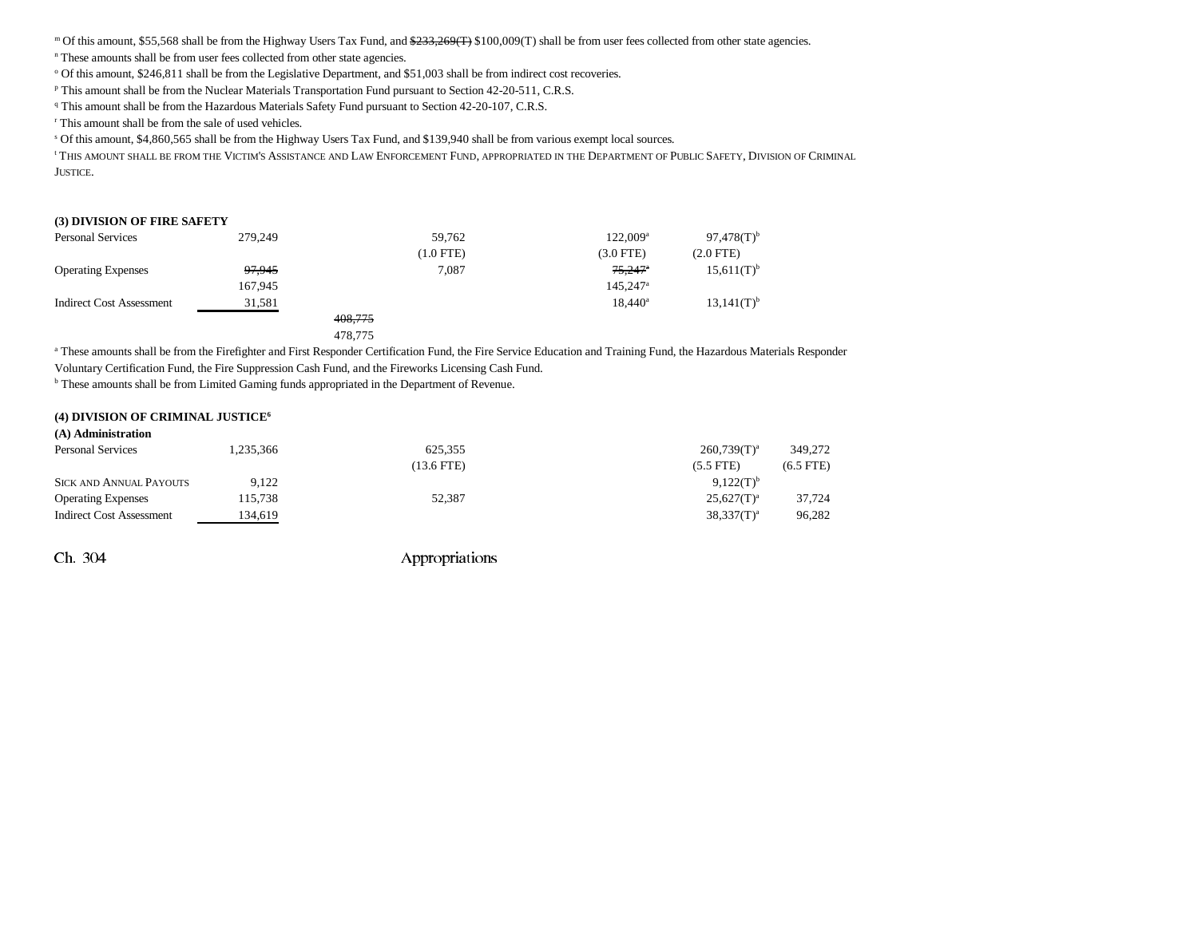m Of this amount, \$55,568 shall be from the Highway Users Tax Fund, and \$233,269(T) \$100,009(T) shall be from user fees collected from other state agencies.

<sup>n</sup> These amounts shall be from user fees collected from other state agencies.

<sup>o</sup> Of this amount, \$246,811 shall be from the Legislative Department, and \$51,003 shall be from indirect cost recoveries.

p This amount shall be from the Nuclear Materials Transportation Fund pursuant to Section 42-20-511, C.R.S.

<sup>q</sup> This amount shall be from the Hazardous Materials Safety Fund pursuant to Section 42-20-107, C.R.S.

r This amount shall be from the sale of used vehicles.

s Of this amount, \$4,860,565 shall be from the Highway Users Tax Fund, and \$139,940 shall be from various exempt local sources.

' THIS AMOUNT SHALL BE FROM THE VICTIM'S ASSISTANCE AND LAW ENFORCEMENT FUND, APPROPRIATED IN THE DEPARTMENT OF PUBLIC SAFETY, DIVISION OF CRIMINAL JUSTICE.

#### **(3) DIVISION OF FIRE SAFETY**

| <b>Personal Services</b>  | 279,249 |         | 59.762      | $122.009^{\text{a}}$   | $97,478(T)$ <sup>b</sup> |
|---------------------------|---------|---------|-------------|------------------------|--------------------------|
|                           |         |         | $(1.0$ FTE) | $(3.0$ FTE)            | $(2.0$ FTE $)$           |
| <b>Operating Expenses</b> | 97,945  |         | 7.087       | <del>75,247</del> *    | $15,611(T)^{b}$          |
|                           | 167.945 |         |             | $145.247$ <sup>a</sup> |                          |
| Indirect Cost Assessment  | 31,581  |         |             | $18.440^{\circ}$       | $13,141(T)^{b}$          |
|                           |         | 408,775 |             |                        |                          |
|                           |         |         |             |                        |                          |

478,775

a These amounts shall be from the Firefighter and First Responder Certification Fund, the Fire Service Education and Training Fund, the Hazardous Materials Responder

Voluntary Certification Fund, the Fire Suppression Cash Fund, and the Fireworks Licensing Cash Fund.

<sup>b</sup> These amounts shall be from Limited Gaming funds appropriated in the Department of Revenue.

#### **(4) DIVISION OF CRIMINAL JUSTICE6**

| (A) Administration              |           |              |                |             |
|---------------------------------|-----------|--------------|----------------|-------------|
| <b>Personal Services</b>        | 1.235.366 | 625,355      | $260,739(T)^a$ | 349,272     |
|                                 |           | $(13.6$ FTE) | $(5.5$ FTE)    | $(6.5$ FTE) |
| <b>SICK AND ANNUAL PAYOUTS</b>  | 9.122     |              | $9.122(T)^{b}$ |             |
| <b>Operating Expenses</b>       | 115,738   | 52,387       | $25.627(T)^a$  | 37.724      |
| <b>Indirect Cost Assessment</b> | 134.619   |              | $38,337(T)^a$  | 96,282      |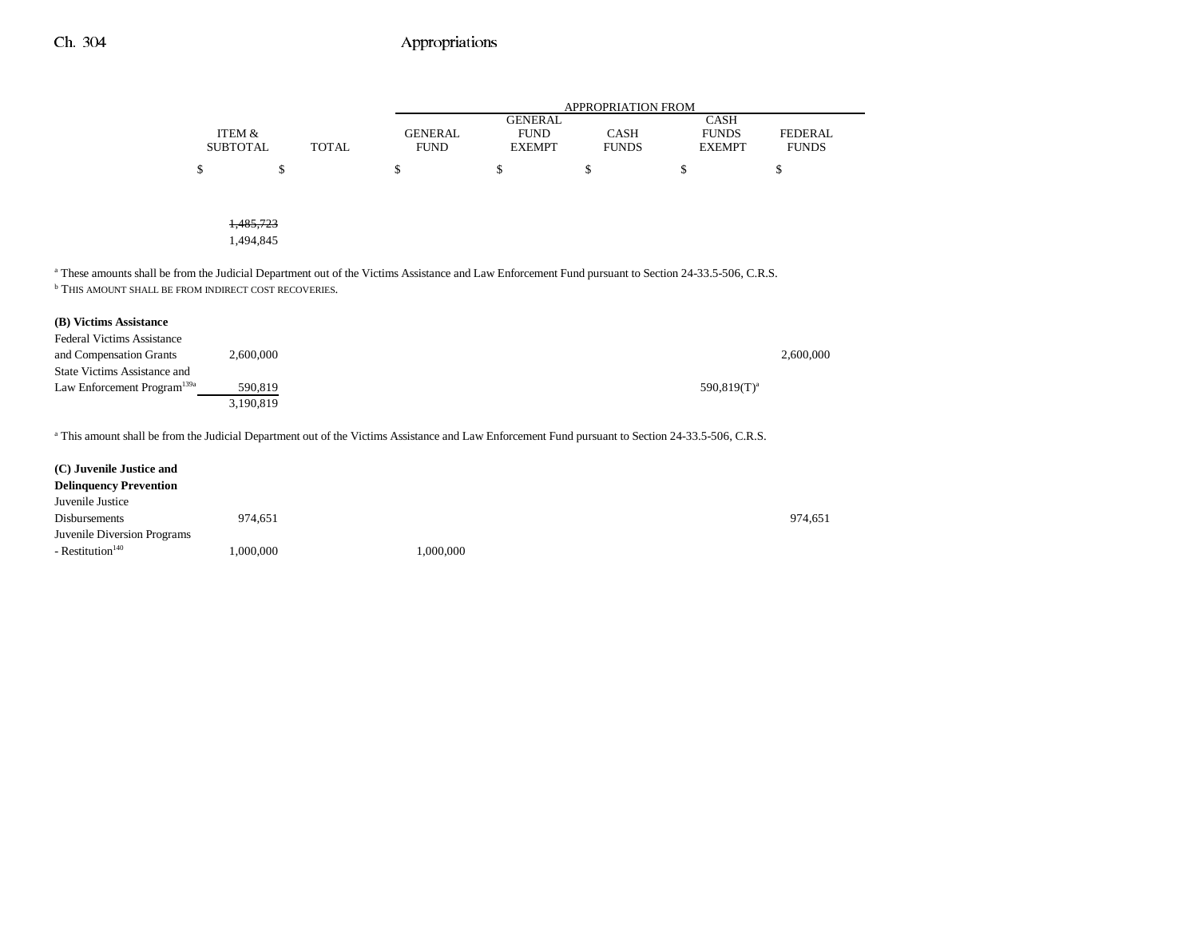|   |                 |              |                | <b>APPROPRIATION FROM</b> |              |               |                |  |  |
|---|-----------------|--------------|----------------|---------------------------|--------------|---------------|----------------|--|--|
|   |                 |              |                | <b>GENERAL</b>            |              | <b>CASH</b>   |                |  |  |
|   | ITEM &          |              | <b>GENERAL</b> | <b>FUND</b>               | <b>CASH</b>  | <b>FUNDS</b>  | <b>FEDERAL</b> |  |  |
|   | <b>SUBTOTAL</b> | <b>TOTAL</b> | <b>FUND</b>    | <b>EXEMPT</b>             | <b>FUNDS</b> | <b>EXEMPT</b> | <b>FUNDS</b>   |  |  |
| D | \$              |              | \$             | \$                        | \$           | \$            | D              |  |  |
|   |                 |              |                |                           |              |               |                |  |  |
|   |                 |              |                |                           |              |               |                |  |  |
|   | 1,485,723       |              |                |                           |              |               |                |  |  |
|   | 1,494,845       |              |                |                           |              |               |                |  |  |

<sup>a</sup> These amounts shall be from the Judicial Department out of the Victims Assistance and Law Enforcement Fund pursuant to Section 24-33.5-506, C.R.S. **b THIS AMOUNT SHALL BE FROM INDIRECT COST RECOVERIES.** 

#### **(B) Victims Assistance**

| <b>Federal Victims Assistance</b>       |           |                |           |
|-----------------------------------------|-----------|----------------|-----------|
| and Compensation Grants                 | 2,600,000 |                | 2,600,000 |
| <b>State Victims Assistance and</b>     |           |                |           |
| Law Enforcement Program <sup>139a</sup> | 590.819   | $590.819(T)^a$ |           |
|                                         | 3.190.819 |                |           |

a This amount shall be from the Judicial Department out of the Victims Assistance and Law Enforcement Fund pursuant to Section 24-33.5-506, C.R.S.

| (C) Juvenile Justice and      |           |           |         |
|-------------------------------|-----------|-----------|---------|
| <b>Delinquency Prevention</b> |           |           |         |
| Juvenile Justice              |           |           |         |
| Disbursements                 | 974.651   |           | 974.651 |
| Juvenile Diversion Programs   |           |           |         |
| - Restitution <sup>140</sup>  | 1,000,000 | 1,000,000 |         |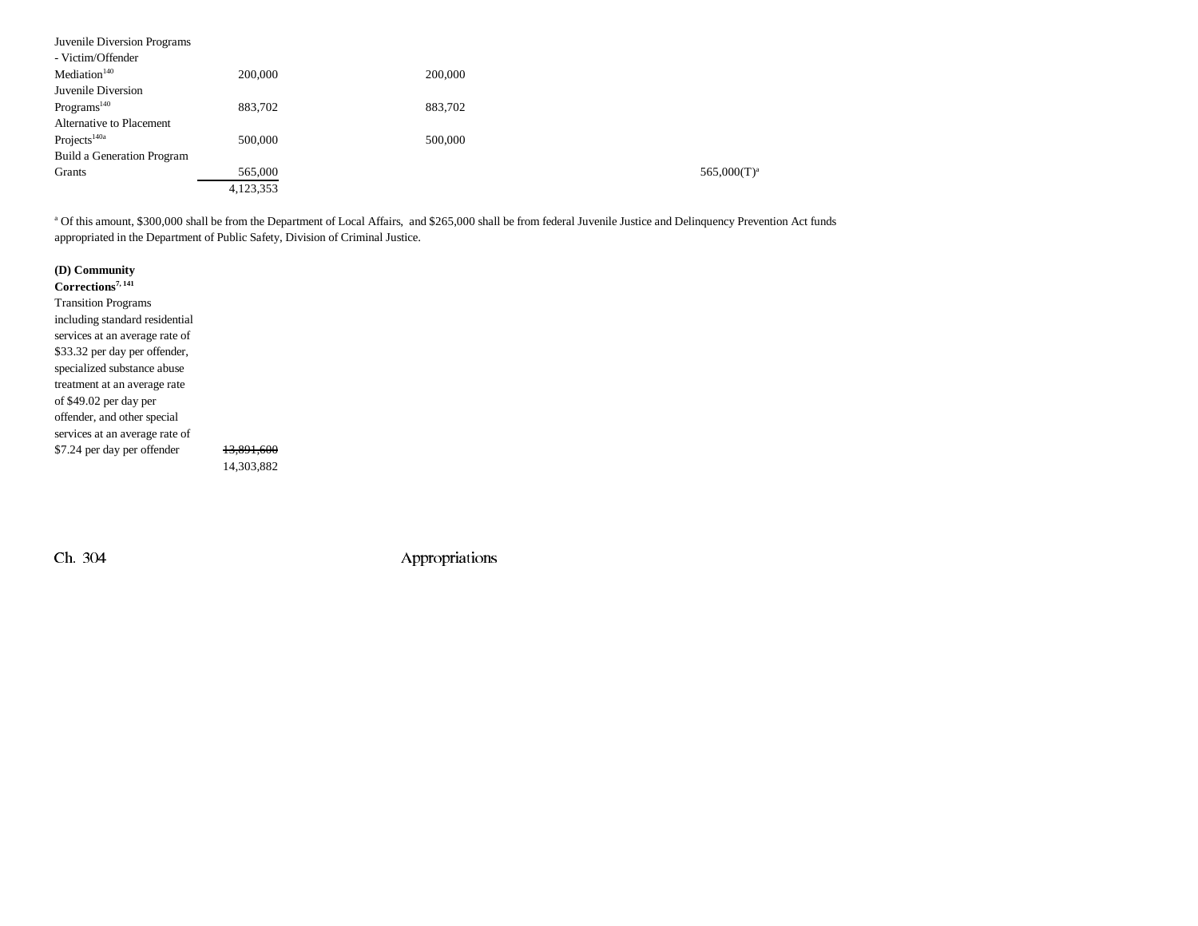| Juvenile Diversion Programs |           |         |                |
|-----------------------------|-----------|---------|----------------|
| - Victim/Offender           |           |         |                |
| Mediation <sup>140</sup>    | 200,000   | 200,000 |                |
| Juvenile Diversion          |           |         |                |
| Programs <sup>140</sup>     | 883,702   | 883,702 |                |
| Alternative to Placement    |           |         |                |
| Projects <sup>140a</sup>    | 500,000   | 500,000 |                |
| Build a Generation Program  |           |         |                |
| Grants                      | 565,000   |         | $565,000(T)^a$ |
|                             | 4,123,353 |         |                |

<sup>a</sup> Of this amount, \$300,000 shall be from the Department of Local Affairs, and \$265,000 shall be from federal Juvenile Justice and Delinquency Prevention Act funds appropriated in the Department of Public Safety, Division of Criminal Justice.

| (D) Community                  |                       |
|--------------------------------|-----------------------|
| Corrections <sup>7, 141</sup>  |                       |
| <b>Transition Programs</b>     |                       |
| including standard residential |                       |
| services at an average rate of |                       |
| \$33.32 per day per offender,  |                       |
| specialized substance abuse    |                       |
| treatment at an average rate   |                       |
| of \$49.02 per day per         |                       |
| offender, and other special    |                       |
| services at an average rate of |                       |
| \$7.24 per day per offender    | <del>13.891.600</del> |
|                                | 14,303,882            |

3,882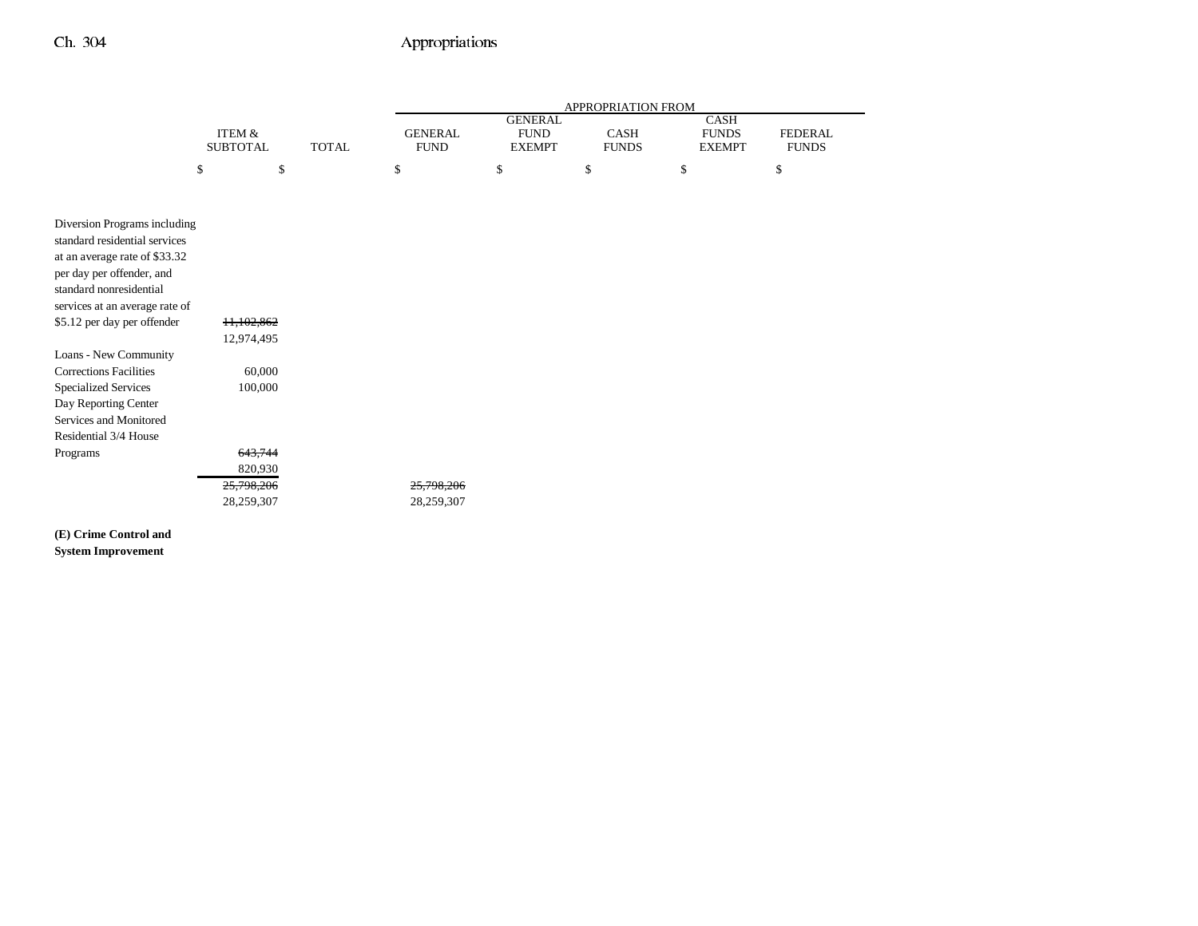|                                |                           |                                               | APPROPRIATION FROM                             |                      |                                              |                                |    |  |
|--------------------------------|---------------------------|-----------------------------------------------|------------------------------------------------|----------------------|----------------------------------------------|--------------------------------|----|--|
|                                | ITEM &<br><b>SUBTOTAL</b> | <b>GENERAL</b><br><b>TOTAL</b><br><b>FUND</b> | <b>GENERAL</b><br><b>FUND</b><br><b>EXEMPT</b> | CASH<br><b>FUNDS</b> | <b>CASH</b><br><b>FUNDS</b><br><b>EXEMPT</b> | <b>FEDERAL</b><br><b>FUNDS</b> |    |  |
|                                | \$<br>\$                  |                                               | \$                                             | $\mathbb S$          | \$                                           | \$                             | \$ |  |
|                                |                           |                                               |                                                |                      |                                              |                                |    |  |
| Diversion Programs including   |                           |                                               |                                                |                      |                                              |                                |    |  |
| standard residential services  |                           |                                               |                                                |                      |                                              |                                |    |  |
| at an average rate of \$33.32  |                           |                                               |                                                |                      |                                              |                                |    |  |
| per day per offender, and      |                           |                                               |                                                |                      |                                              |                                |    |  |
| standard nonresidential        |                           |                                               |                                                |                      |                                              |                                |    |  |
| services at an average rate of |                           |                                               |                                                |                      |                                              |                                |    |  |
| \$5.12 per day per offender    | 11,102,862                |                                               |                                                |                      |                                              |                                |    |  |
| Loans - New Community          | 12,974,495                |                                               |                                                |                      |                                              |                                |    |  |
| <b>Corrections Facilities</b>  | 60,000                    |                                               |                                                |                      |                                              |                                |    |  |
| <b>Specialized Services</b>    | 100,000                   |                                               |                                                |                      |                                              |                                |    |  |
| Day Reporting Center           |                           |                                               |                                                |                      |                                              |                                |    |  |
| Services and Monitored         |                           |                                               |                                                |                      |                                              |                                |    |  |
| Residential 3/4 House          |                           |                                               |                                                |                      |                                              |                                |    |  |
| Programs                       | 643,744                   |                                               |                                                |                      |                                              |                                |    |  |
|                                | 820,930                   |                                               |                                                |                      |                                              |                                |    |  |
|                                | 25,798,206                |                                               | 25,798,206                                     |                      |                                              |                                |    |  |
|                                | 28,259,307                |                                               | 28,259,307                                     |                      |                                              |                                |    |  |

**(E) Crime Control and System Improvement**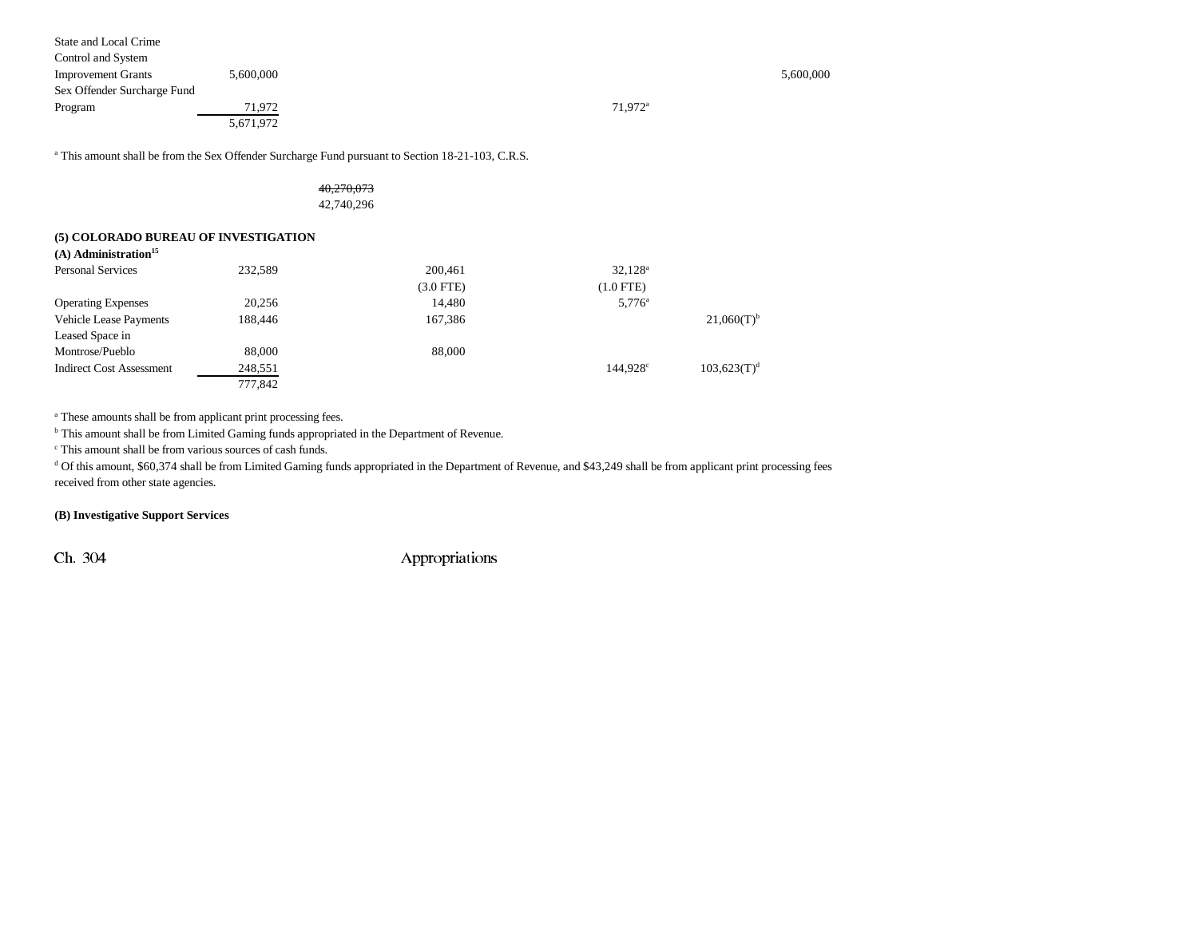| 5,600,000                   |                       | 5,600,000 |
|-----------------------------|-----------------------|-----------|
| Sex Offender Surcharge Fund |                       |           |
| 71.972                      | $71.972$ <sup>a</sup> |           |
| 5,671,972                   |                       |           |
|                             |                       |           |

<sup>a</sup> This amount shall be from the Sex Offender Surcharge Fund pursuant to Section 18-21-103, C.R.S.

### 40,270,073 42,740,296

#### **(5) COLORADO BUREAU OF INVESTIGATION**

| $(A)$ Administration <sup>15</sup> |         |             |                 |                          |
|------------------------------------|---------|-------------|-----------------|--------------------------|
| <b>Personal Services</b>           | 232.589 | 200,461     | $32,128^a$      |                          |
|                                    |         | $(3.0$ FTE) | $(1.0$ FTE)     |                          |
| <b>Operating Expenses</b>          | 20.256  | 14,480      | $5,776^{\circ}$ |                          |
| <b>Vehicle Lease Payments</b>      | 188,446 | 167,386     |                 | $21,060(T)$ <sup>b</sup> |
| Leased Space in                    |         |             |                 |                          |
| Montrose/Pueblo                    | 88,000  | 88,000      |                 |                          |
| <b>Indirect Cost Assessment</b>    | 248,551 |             | 144.928c        | 103,623(T) <sup>d</sup>  |
|                                    | 777,842 |             |                 |                          |

<sup>a</sup> These amounts shall be from applicant print processing fees.

<sup>b</sup> This amount shall be from Limited Gaming funds appropriated in the Department of Revenue.

c This amount shall be from various sources of cash funds.

<sup>d</sup> Of this amount, \$60,374 shall be from Limited Gaming funds appropriated in the Department of Revenue, and \$43,249 shall be from applicant print processing fees received from other state agencies.

### **(B) Investigative Support Services**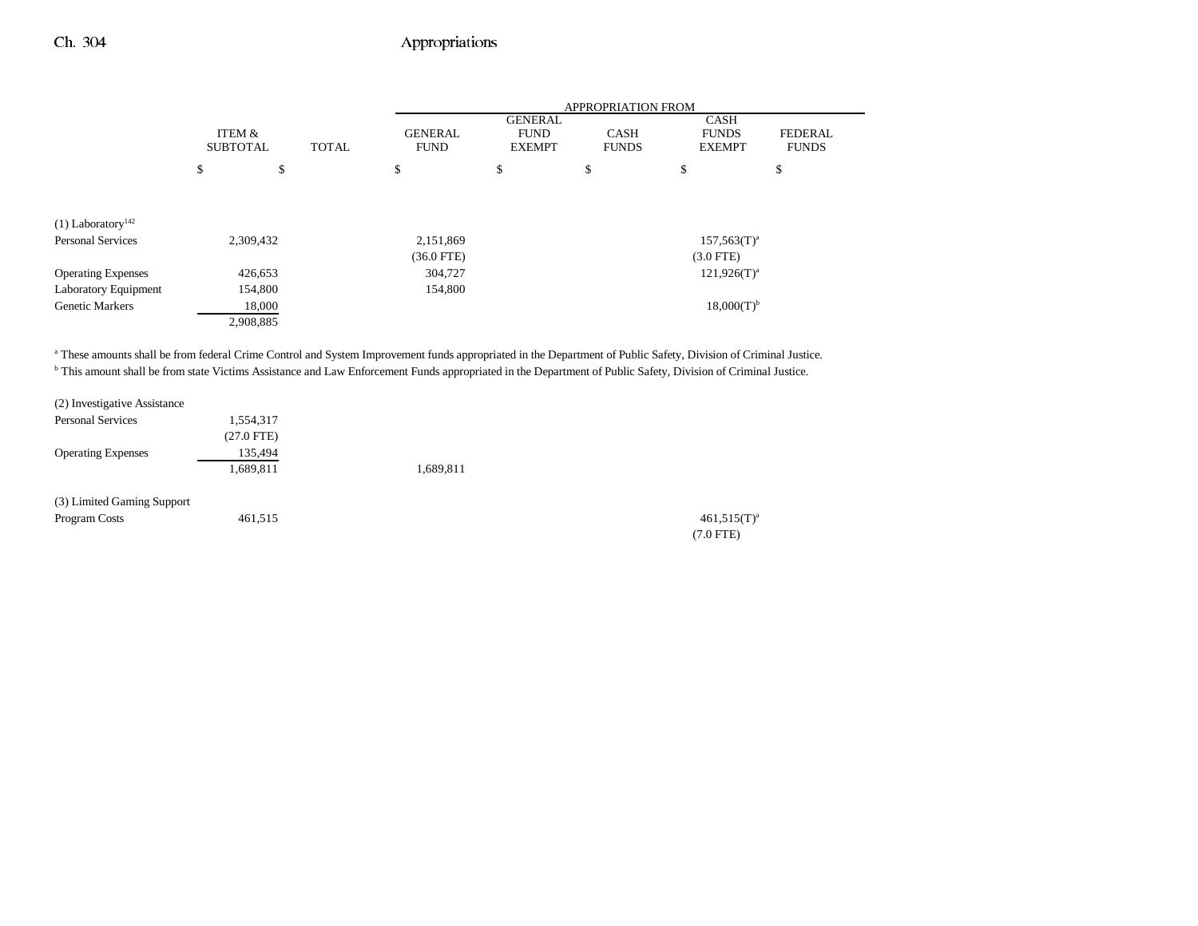|                                 |                           |           |              | <b>APPROPRIATION FROM</b>     |                                                |                             |                                              |                                |  |
|---------------------------------|---------------------------|-----------|--------------|-------------------------------|------------------------------------------------|-----------------------------|----------------------------------------------|--------------------------------|--|
|                                 | ITEM &<br><b>SUBTOTAL</b> |           | <b>TOTAL</b> | <b>GENERAL</b><br><b>FUND</b> | <b>GENERAL</b><br><b>FUND</b><br><b>EXEMPT</b> | <b>CASH</b><br><b>FUNDS</b> | <b>CASH</b><br><b>FUNDS</b><br><b>EXEMPT</b> | <b>FEDERAL</b><br><b>FUNDS</b> |  |
|                                 | \$                        | \$        |              | \$                            | \$                                             | \$                          | \$                                           | \$                             |  |
|                                 |                           |           |              |                               |                                                |                             |                                              |                                |  |
| $(1)$ Laboratory <sup>142</sup> |                           |           |              |                               |                                                |                             |                                              |                                |  |
| <b>Personal Services</b>        |                           | 2,309,432 |              | 2,151,869                     |                                                |                             | $157,563(T)^a$                               |                                |  |
|                                 |                           |           |              | $(36.0$ FTE)                  |                                                |                             | $(3.0$ FTE)                                  |                                |  |
| <b>Operating Expenses</b>       |                           | 426,653   |              | 304,727                       | $121.926(T)^{a}$                               |                             |                                              |                                |  |
| Laboratory Equipment            |                           | 154,800   |              | 154,800                       |                                                |                             |                                              |                                |  |
| <b>Genetic Markers</b>          |                           | 18,000    |              |                               |                                                |                             | $18,000(T)^{b}$                              |                                |  |
|                                 |                           | 2,908,885 |              |                               |                                                |                             |                                              |                                |  |

a These amounts shall be from federal Crime Control and System Improvement funds appropriated in the Department of Public Safety, Division of Criminal Justice. <sup>b</sup> This amount shall be from state Victims Assistance and Law Enforcement Funds appropriated in the Department of Public Safety, Division of Criminal Justice.

| (2) Investigative Assistance |              |           |                     |
|------------------------------|--------------|-----------|---------------------|
| <b>Personal Services</b>     | 1,554,317    |           |                     |
|                              | $(27.0$ FTE) |           |                     |
| <b>Operating Expenses</b>    | 135,494      |           |                     |
|                              | 1,689,811    | 1,689,811 |                     |
| (3) Limited Gaming Support   |              |           |                     |
| Program Costs                | 461,515      |           | $461,515(T)^{3}$    |
|                              |              |           | $(7.0 \text{ FFE})$ |

(7.0 FTE)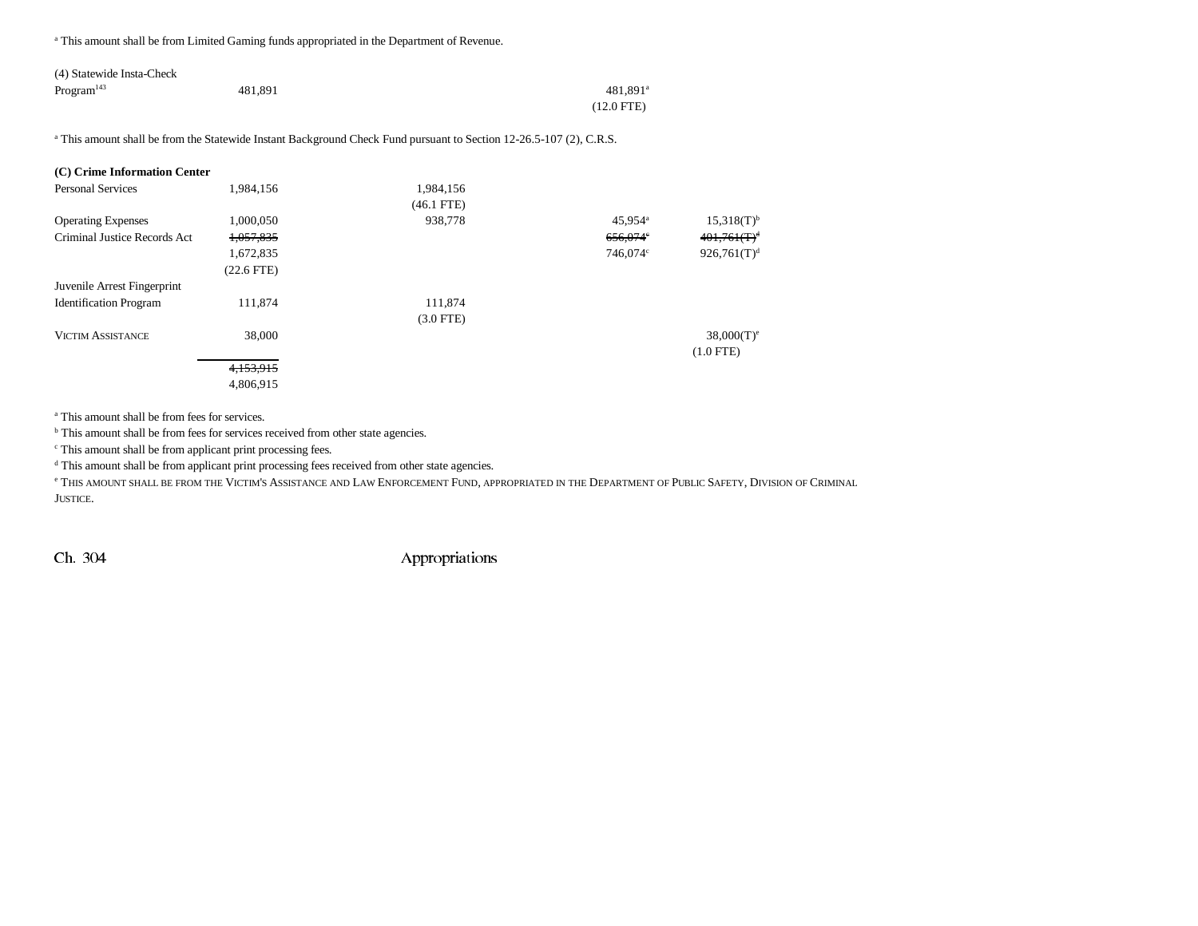a This amount shall be from Limited Gaming funds appropriated in the Department of Revenue.

| (4) Statewide Insta-Check |         |              |
|---------------------------|---------|--------------|
| Program <sup>143</sup>    | 481.891 | $481.891^a$  |
|                           |         | $(12.0$ FTE) |

<sup>a</sup> This amount shall be from the Statewide Instant Background Check Fund pursuant to Section 12-26.5-107 (2), C.R.S.

| (C) Crime Information Center  |              |              |                     |                          |
|-------------------------------|--------------|--------------|---------------------|--------------------------|
| <b>Personal Services</b>      | 1,984,156    | 1,984,156    |                     |                          |
|                               |              | $(46.1$ FTE) |                     |                          |
| <b>Operating Expenses</b>     | 1,000,050    | 938,778      | 45,954 <sup>a</sup> | $15,318(T)^{b}$          |
| Criminal Justice Records Act  | 1,057,835    |              | 656,074°            | $401,761(T)^d$           |
|                               | 1,672,835    |              | 746,074°            | 926,761(T) <sup>d</sup>  |
|                               | $(22.6$ FTE) |              |                     |                          |
| Juvenile Arrest Fingerprint   |              |              |                     |                          |
| <b>Identification Program</b> | 111,874      | 111,874      |                     |                          |
|                               |              | $(3.0$ FTE)  |                     |                          |
| <b>VICTIM ASSISTANCE</b>      | 38,000       |              |                     | $38,000(T)$ <sup>e</sup> |
|                               |              |              |                     | $(1.0$ FTE)              |
|                               | 4.153.915    |              |                     |                          |
|                               | 4,806,915    |              |                     |                          |

a This amount shall be from fees for services.

<sup>b</sup> This amount shall be from fees for services received from other state agencies.

c This amount shall be from applicant print processing fees.

<sup>d</sup> This amount shall be from applicant print processing fees received from other state agencies.

e This amount shall be from the Victim's Assistance and Law Enforcement Fund, appropriated in the Department of Public Safety, Division of Criminal JUSTICE.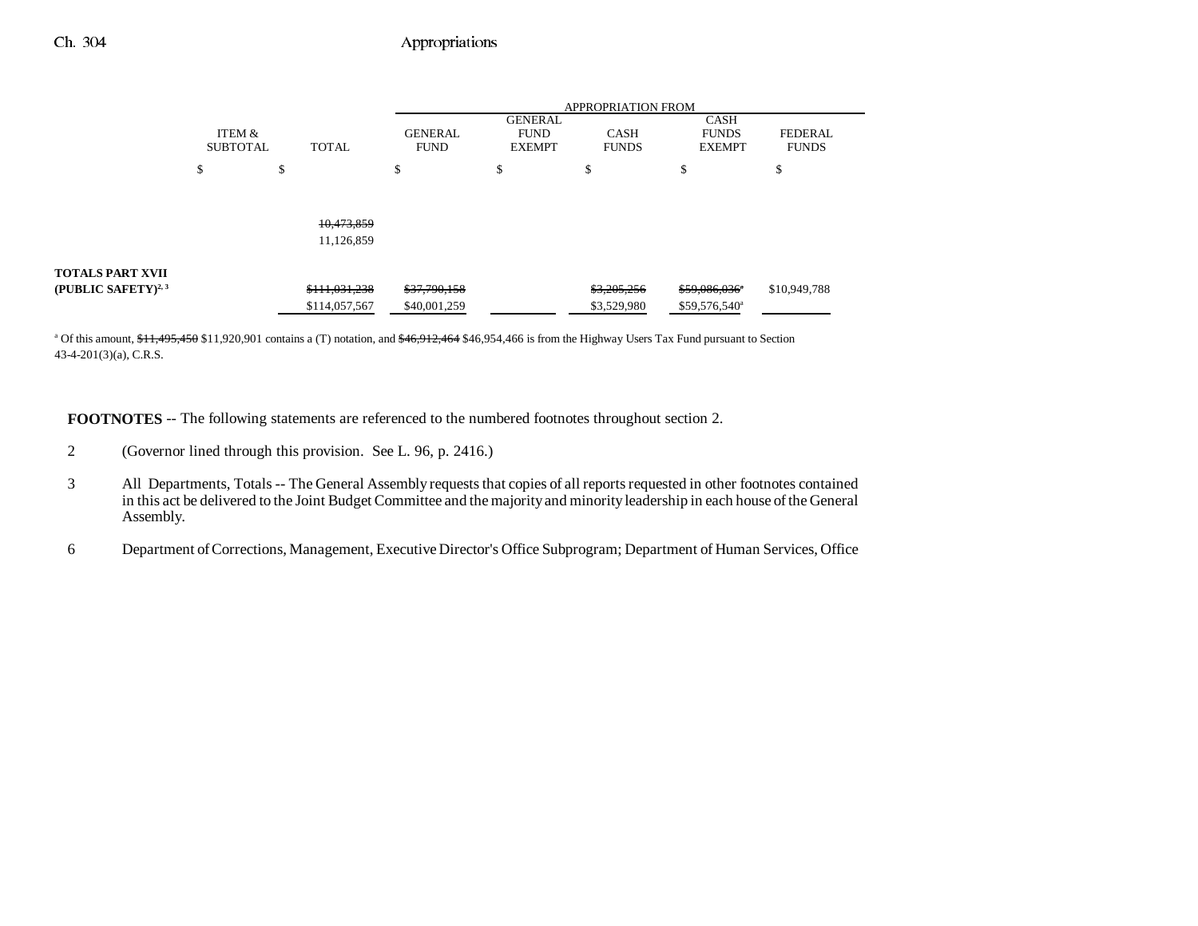|                                 |                           |               | <b>APPROPRIATION FROM</b>     |                                                |                             |                                              |                                |  |
|---------------------------------|---------------------------|---------------|-------------------------------|------------------------------------------------|-----------------------------|----------------------------------------------|--------------------------------|--|
|                                 | ITEM &<br><b>SUBTOTAL</b> | <b>TOTAL</b>  | <b>GENERAL</b><br><b>FUND</b> | <b>GENERAL</b><br><b>FUND</b><br><b>EXEMPT</b> | <b>CASH</b><br><b>FUNDS</b> | <b>CASH</b><br><b>FUNDS</b><br><b>EXEMPT</b> | <b>FEDERAL</b><br><b>FUNDS</b> |  |
|                                 | œ<br>ъ                    | D             | \$                            | э                                              | \$                          | D                                            | \$                             |  |
|                                 |                           |               |                               |                                                |                             |                                              |                                |  |
|                                 |                           |               |                               |                                                |                             |                                              |                                |  |
|                                 |                           | 10,473,859    |                               |                                                |                             |                                              |                                |  |
|                                 |                           | 11,126,859    |                               |                                                |                             |                                              |                                |  |
|                                 |                           |               |                               |                                                |                             |                                              |                                |  |
| <b>TOTALS PART XVII</b>         |                           |               |                               |                                                |                             |                                              |                                |  |
| (PUBLIC SAFETY) <sup>2, 3</sup> |                           | \$111,031,238 | \$37,790,158                  |                                                | \$3,205,256                 | \$59,086,036*                                | \$10,949,788                   |  |
|                                 |                           | \$114,057,567 | \$40,001,259                  |                                                | \$3,529,980                 | \$59,576,540 <sup>a</sup>                    |                                |  |

<sup>a</sup> Of this amount, \$11,495,450 \$11,920,901 contains a (T) notation, and \$46,912,464 \$46,954,466 is from the Highway Users Tax Fund pursuant to Section 43-4-201(3)(a), C.R.S.

**FOOTNOTES** -- The following statements are referenced to the numbered footnotes throughout section 2.

- 2 (Governor lined through this provision. See L. 96, p. 2416.)
- 3 All Departments, Totals -- The General Assembly requests that copies of all reports requested in other footnotes contained in this act be delivered to the Joint Budget Committee and the majority and minority leadership in each house of the General Assembly.
- 6 Department of Corrections, Management, Executive Director's Office Subprogram; Department of Human Services, Office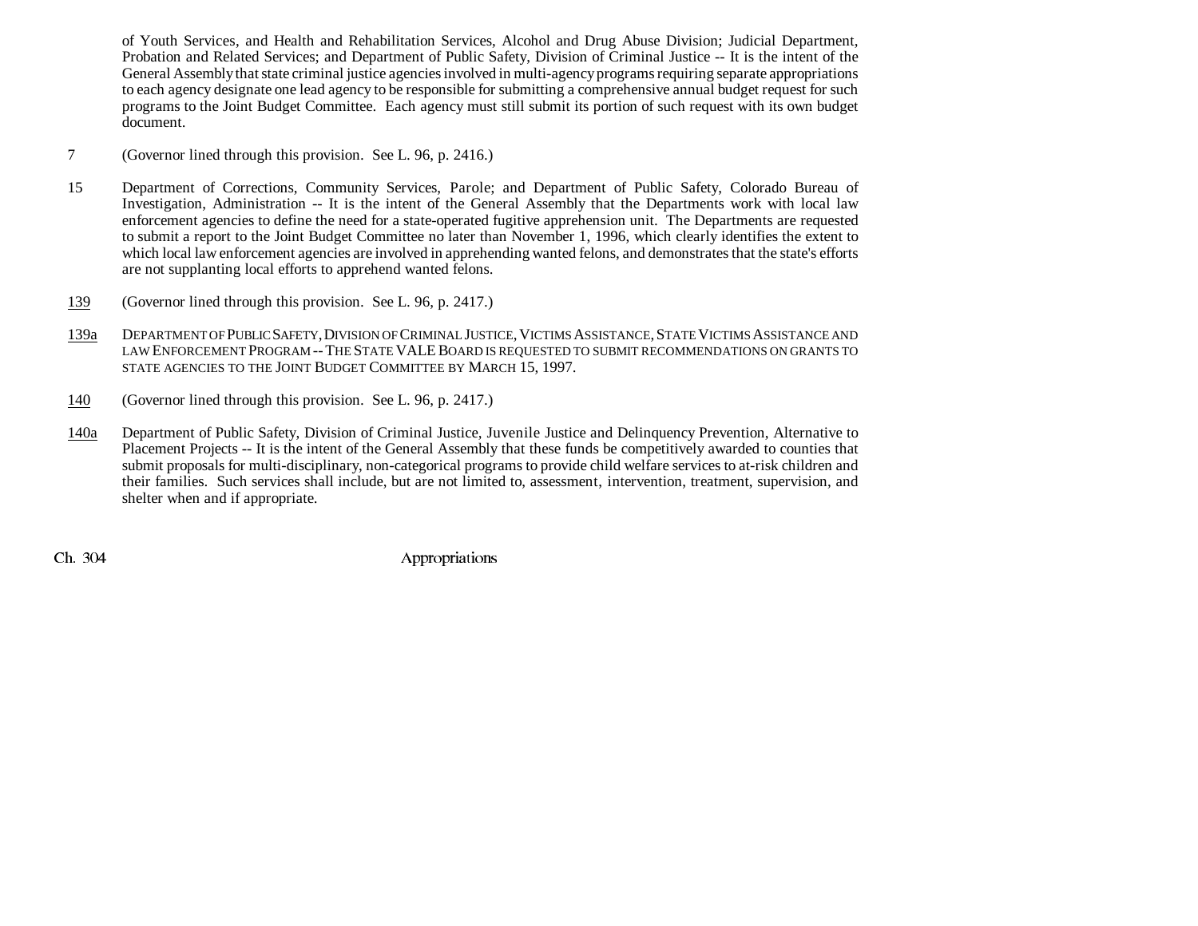of Youth Services, and Health and Rehabilitation Services, Alcohol and Drug Abuse Division; Judicial Department, Probation and Related Services; and Department of Public Safety, Division of Criminal Justice -- It is the intent of the General Assembly that state criminal justice agencies involved in multi-agency programs requiring separate appropriations to each agency designate one lead agency to be responsible for submitting a comprehensive annual budget request for such programs to the Joint Budget Committee. Each agency must still submit its portion of such request with its own budget document.

- 7 (Governor lined through this provision. See L. 96, p. 2416.)
- 15 Department of Corrections, Community Services, Parole; and Department of Public Safety, Colorado Bureau of Investigation, Administration -- It is the intent of the General Assembly that the Departments work with local law enforcement agencies to define the need for a state-operated fugitive apprehension unit. The Departments are requested to submit a report to the Joint Budget Committee no later than November 1, 1996, which clearly identifies the extent to which local law enforcement agencies are involved in apprehending wanted felons, and demonstrates that the state's efforts are not supplanting local efforts to apprehend wanted felons.
- 139(Governor lined through this provision. See L. 96, p. 2417.)
- 139a DEPARTMENT OF PUBLIC SAFETY, DIVISION OF CRIMINAL JUSTICE, VICTIMS ASSISTANCE, STATE VICTIMS ASSISTANCE AND LAW ENFORCEMENT PROGRAM -- THE STATE VALE BOARD IS REQUESTED TO SUBMIT RECOMMENDATIONS ON GRANTS TO STATE AGENCIES TO THE JOINT BUDGET COMMITTEE BY MARCH 15, 1997.
- 140(Governor lined through this provision. See L. 96, p. 2417.)
- 140a Department of Public Safety, Division of Criminal Justice, Juvenile Justice and Delinquency Prevention, Alternative to Placement Projects -- It is the intent of the General Assembly that these funds be competitively awarded to counties that submit proposals for multi-disciplinary, non-categorical programs to provide child welfare services to at-risk children and their families. Such services shall include, but are not limited to, assessment, intervention, treatment, supervision, and shelter when and if appropriate.